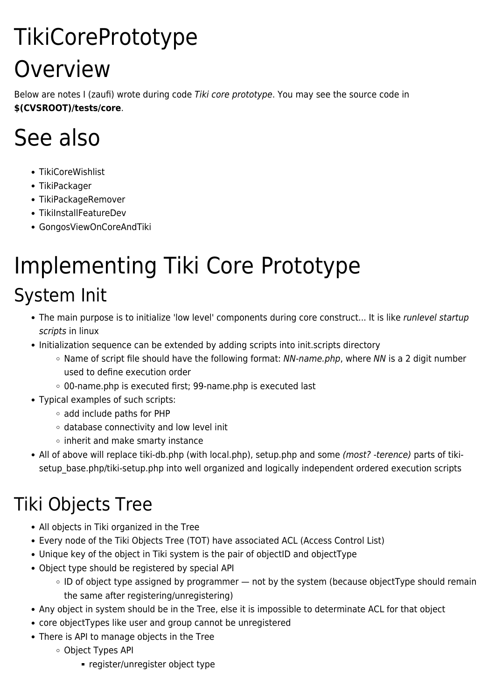# TikiCorePrototype

# **Overview**

Below are notes I (zaufi) wrote during code Tiki core prototype. You may see the source code in **\$(CVSROOT)/tests/core**.

# See also

- TikiCoreWishlist
- TikiPackager
- TikiPackageRemover
- TikiInstallFeatureDev
- GongosViewOnCoreAndTiki

# Implementing Tiki Core Prototype

### System Init

- The main purpose is to initialize 'low level' components during core construct... It is like runlevel startup scripts in linux
- Initialization sequence can be extended by adding scripts into init.scripts directory
	- Name of script file should have the following format: NN-name.php, where NN is a 2 digit number used to define execution order
	- o 00-name.php is executed first; 99-name.php is executed last
- Typical examples of such scripts:
	- add include paths for PHP
	- database connectivity and low level init
	- $\circ$  inherit and make smarty instance
- All of above will replace tiki-db.php (with local.php), setup.php and some (most? -terence) parts of tikisetup\_base.php/tiki-setup.php into well organized and logically independent ordered execution scripts

### Tiki Objects Tree

- All objects in Tiki organized in the Tree
- Every node of the Tiki Objects Tree (TOT) have associated ACL (Access Control List)
- Unique key of the object in Tiki system is the pair of objectID and objectType
- Object type should be registered by special API
	- $\circ$  ID of object type assigned by programmer  $-$  not by the system (because objectType should remain the same after registering/unregistering)
- Any object in system should be in the Tree, else it is impossible to determinate ACL for that object
- core objectTypes like user and group cannot be unregistered
- There is API to manage objects in the Tree
	- Object Types API
		- register/unregister object type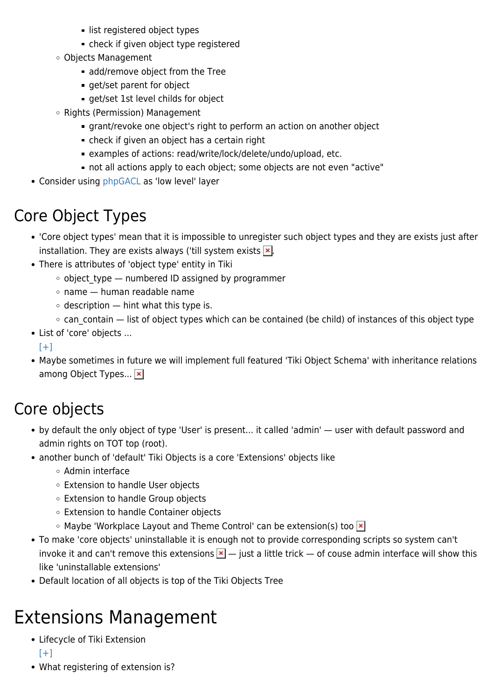- list registered object types
- check if given object type registered
- Objects Management
	- add/remove object from the Tree
	- get/set parent for object
	- get/set 1st level childs for object
- $\circ$  Rights (Permission) Management
	- grant/revoke one object's right to perform an action on another object
	- check if given an object has a certain right
	- examples of actions: read/write/lock/delete/undo/upload, etc.
	- not all actions apply to each object; some objects are not even "active"
- Consider using [phpGACL](http://phpgacl.sourceforge.net/) as 'low level' layer

#### Core Object Types

- 'Core object types' mean that it is impossible to unregister such object types and they are exists just after installation. They are exists always ('till system exists  $\ge$ .
- There is attributes of 'object type' entity in Tiki
	- $\circ$  object type numbered ID assigned by programmer
	- $\circ$  name human readable name
	- $\circ$  description hint what this type is.
	- can\_contain list of object types which can be contained (be child) of instances of this object type
- List of 'core' objects ...
	- $[+]$
- Maybe sometimes in future we will implement full featured 'Tiki Object Schema' with inheritance relations among Object Types... **\***

#### Core objects

- by default the only object of type 'User' is present... it called 'admin' user with default password and admin rights on TOT top (root).
- another bunch of 'default' Tiki Objects is a core 'Extensions' objects like
	- Admin interface
	- Extension to handle User objects
	- Extension to handle Group objects
	- Extension to handle Container objects
	- Maybe 'Workplace Layout and Theme Control' can be extension(s) too  $\overline{\phantom{a}}$
- To make 'core objects' uninstallable it is enough not to provide corresponding scripts so system can't invoke it and can't remove this extensions  $\bf{x}$  – just a little trick – of couse admin interface will show this like 'uninstallable extensions'
- Default location of all objects is top of the Tiki Objects Tree

#### Extensions Management

- Lifecycle of Tiki Extension
	- $[+]$
- What registering of extension is?